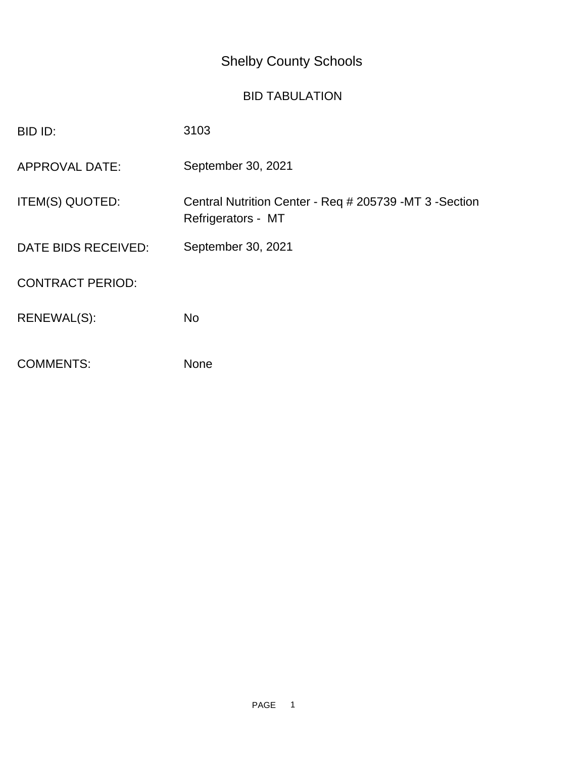## Shelby County Schools

## BID TABULATION

| BID ID:                 | 3103                                                                         |
|-------------------------|------------------------------------------------------------------------------|
| <b>APPROVAL DATE:</b>   | September 30, 2021                                                           |
| ITEM(S) QUOTED:         | Central Nutrition Center - Req # 205739 -MT 3 -Section<br>Refrigerators - MT |
| DATE BIDS RECEIVED:     | September 30, 2021                                                           |
| <b>CONTRACT PERIOD:</b> |                                                                              |
| RENEWAL(S):             | <b>No</b>                                                                    |
| <b>COMMENTS:</b>        | None                                                                         |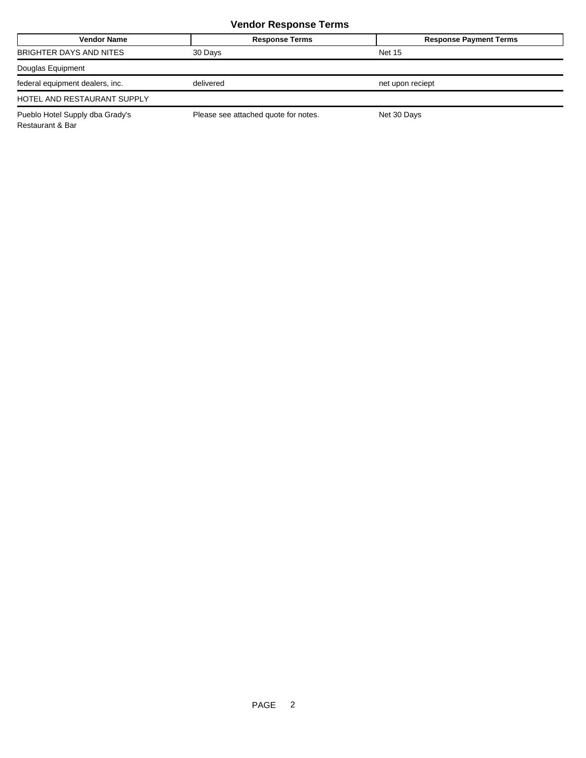## **Vendor Response Terms**

| <b>Vendor Name</b>              | <b>Response Terms</b>                | <b>Response Payment Terms</b> |
|---------------------------------|--------------------------------------|-------------------------------|
| BRIGHTER DAYS AND NITES         | 30 Days                              | <b>Net 15</b>                 |
| Douglas Equipment               |                                      |                               |
| federal equipment dealers, inc. | delivered                            | net upon reciept              |
| HOTEL AND RESTAURANT SUPPLY     |                                      |                               |
| Pueblo Hotel Supply dba Grady's | Please see attached quote for notes. | Net 30 Days                   |

Restaurant & Bar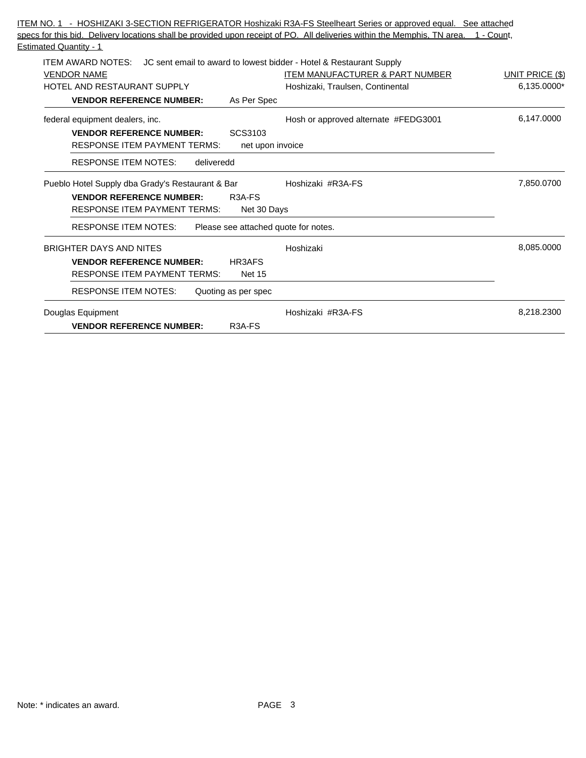| specs for this bid. Delivery locations shall be provided upon receipt of PO. All deliveries within the Memphis, TN area. 1 - Count, |                        |
|-------------------------------------------------------------------------------------------------------------------------------------|------------------------|
| <b>Estimated Quantity - 1</b>                                                                                                       |                        |
| <b>ITEM AWARD NOTES:</b> JC sent email to award to lowest bidder - Hotel & Restaurant Supply                                        |                        |
| <b>VENDOR NAME</b><br><b>ITEM MANUFACTURER &amp; PART NUMBER</b>                                                                    | <b>UNIT PRICE (\$)</b> |
| HOTEL AND RESTAURANT SUPPLY<br>Hoshizaki, Traulsen, Continental                                                                     | 6,135.0000*            |
| <b>VENDOR REFERENCE NUMBER:</b><br>As Per Spec                                                                                      |                        |
| federal equipment dealers, inc.<br>Hosh or approved alternate #FEDG3001                                                             | 6,147.0000             |
| SCS3103<br><b>VENDOR REFERENCE NUMBER:</b>                                                                                          |                        |
| <b>RESPONSE ITEM PAYMENT TERMS:</b><br>net upon invoice                                                                             |                        |
| <b>RESPONSE ITEM NOTES:</b><br>deliveredd                                                                                           |                        |
| Pueblo Hotel Supply dba Grady's Restaurant & Bar<br>Hoshizaki #R3A-FS                                                               | 7,850.0700             |
| <b>VENDOR REFERENCE NUMBER:</b><br>R <sub>3</sub> A-F <sub>S</sub>                                                                  |                        |
| <b>RESPONSE ITEM PAYMENT TERMS:</b><br>Net 30 Days                                                                                  |                        |
| <b>RESPONSE ITEM NOTES:</b><br>Please see attached quote for notes.                                                                 |                        |
| <b>BRIGHTER DAYS AND NITES</b><br>Hoshizaki                                                                                         | 8,085.0000             |
| <b>VENDOR REFERENCE NUMBER:</b><br>HR3AFS                                                                                           |                        |
| <b>RESPONSE ITEM PAYMENT TERMS:</b><br><b>Net 15</b>                                                                                |                        |
| <b>RESPONSE ITEM NOTES:</b><br>Quoting as per spec                                                                                  |                        |
| Douglas Equipment<br>Hoshizaki #R3A-FS                                                                                              | 8,218.2300             |
| <b>VENDOR REFERENCE NUMBER:</b><br>R <sub>3</sub> A-F <sub>S</sub>                                                                  |                        |